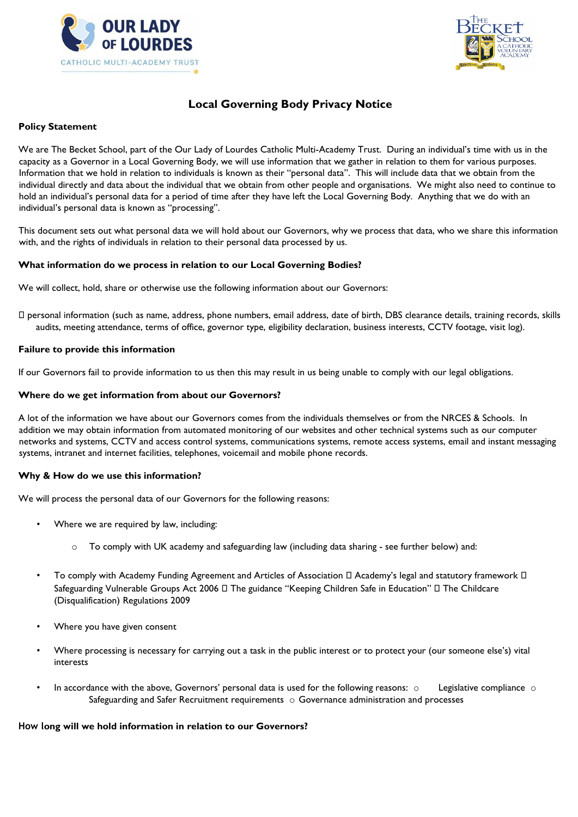



# **Local Governing Body Privacy Notice**

## **Policy Statement**

We are The Becket School, part of the Our Lady of Lourdes Catholic Multi-Academy Trust. During an individual's time with us in the capacity as a Governor in a Local Governing Body, we will use information that we gather in relation to them for various purposes. Information that we hold in relation to individuals is known as their "personal data". This will include data that we obtain from the individual directly and data about the individual that we obtain from other people and organisations. We might also need to continue to hold an individual's personal data for a period of time after they have left the Local Governing Body. Anything that we do with an individual's personal data is known as "processing".

This document sets out what personal data we will hold about our Governors, why we process that data, who we share this information with, and the rights of individuals in relation to their personal data processed by us.

## **What information do we process in relation to our Local Governing Bodies?**

We will collect, hold, share or otherwise use the following information about our Governors:

 personal information (such as name, address, phone numbers, email address, date of birth, DBS clearance details, training records, skills audits, meeting attendance, terms of office, governor type, eligibility declaration, business interests, CCTV footage, visit log).

#### **Failure to provide this information**

If our Governors fail to provide information to us then this may result in us being unable to comply with our legal obligations.

#### **Where do we get information from about our Governors?**

A lot of the information we have about our Governors comes from the individuals themselves or from the NRCES & Schools. In addition we may obtain information from automated monitoring of our websites and other technical systems such as our computer networks and systems, CCTV and access control systems, communications systems, remote access systems, email and instant messaging systems, intranet and internet facilities, telephones, voicemail and mobile phone records.

## **Why & How do we use this information?**

We will process the personal data of our Governors for the following reasons:

- Where we are required by law, including:
	- $\circ$  To comply with UK academy and safeguarding law (including data sharing see further below) and:
- To comply with Academy Funding Agreement and Articles of Association  $\Box$  Academy's legal and statutory framework  $\Box$ Safeguarding Vulnerable Groups Act 2006  $\Box$  The guidance "Keeping Children Safe in Education"  $\Box$  The Childcare (Disqualification) Regulations 2009
- Where you have given consent
- Where processing is necessary for carrying out a task in the public interest or to protect your (our someone else's) vital interests
- In accordance with the above, Governors' personal data is used for the following reasons:  $\circ$  Legislative compliance  $\circ$ Safeguarding and Safer Recruitment requirements o Governance administration and processes

## **How long will we hold information in relation to our Governors?**